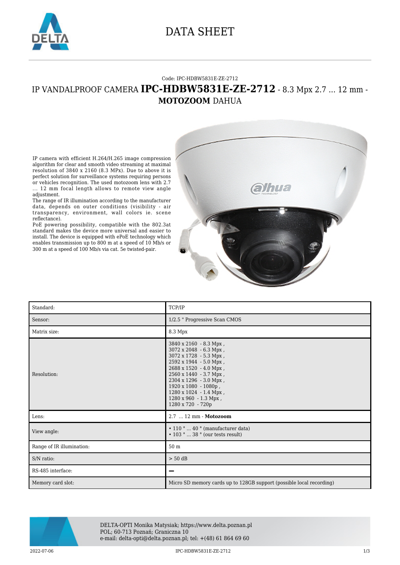

### DATA SHEET

#### Code: IPC-HDBW5831E-ZE-2712

### IP VANDALPROOF CAMERA **IPC-HDBW5831E-ZE-2712** - 8.3 Mpx 2.7 ... 12 mm - **MOTOZOOM** DAHUA



The range of IR illumination according to the manufacturer data, depends on outer conditions (visibility - air transparency, environment, wall colors ie. scene reflectance).

PoE powering possibility, compatible with the 802.3at standard makes the device more universal and easier to install. The device is equipped with ePoE technology which enables transmission up to 800 m at a speed of 10 Mb/s or 300 m at a speed of 100 Mb/s via cat. 5e twisted-pair.



| Standard:                 | TCP/IP                                                                                                                                                                                                                                                                                                         |
|---------------------------|----------------------------------------------------------------------------------------------------------------------------------------------------------------------------------------------------------------------------------------------------------------------------------------------------------------|
| Sensor:                   | 1/2.5 " Progressive Scan CMOS                                                                                                                                                                                                                                                                                  |
| Matrix size:              | 8.3 Mpx                                                                                                                                                                                                                                                                                                        |
| Resolution:               | $3840 \times 2160 - 8.3$ Mpx,<br>3072 x 2048 - 6.3 Mpx,<br>3072 x 1728 - 5.3 Mpx,<br>2592 x 1944 - 5.0 Mpx,<br>$2688 \times 1520 - 4.0$ Mpx,<br>2560 x 1440 - 3.7 Mpx,<br>2304 x 1296 - 3.0 Mpx,<br>1920 x 1080 - 1080p,<br>$1280 \times 1024 - 1.4$ Mpx,<br>$1280 \times 960 - 1.3$ Mpx,<br>1280 x 720 - 720p |
| Lens:                     | 2.7  12 mm - Motozoom                                                                                                                                                                                                                                                                                          |
| View angle:               | $\cdot$ 110 °  40 ° (manufacturer data)<br>$\cdot$ 103 °  38 ° (our tests result)                                                                                                                                                                                                                              |
| Range of IR illumination: | 50 m                                                                                                                                                                                                                                                                                                           |
| S/N ratio:                | $> 50$ dB                                                                                                                                                                                                                                                                                                      |
| RS-485 interface:         |                                                                                                                                                                                                                                                                                                                |
| Memory card slot:         | Micro SD memory cards up to 128GB support (possible local recording)                                                                                                                                                                                                                                           |



DELTA-OPTI Monika Matysiak; https://www.delta.poznan.pl POL; 60-713 Poznań; Graniczna 10 e-mail: delta-opti@delta.poznan.pl; tel: +(48) 61 864 69 60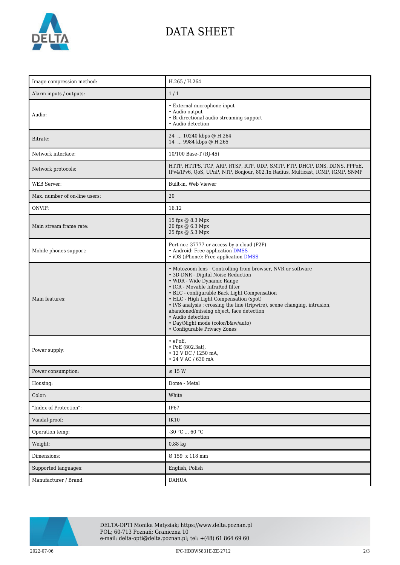

# DATA SHEET

| Image compression method:     | H.265 / H.264                                                                                                                                                                                                                                                                                                                                                                                                                                                                   |
|-------------------------------|---------------------------------------------------------------------------------------------------------------------------------------------------------------------------------------------------------------------------------------------------------------------------------------------------------------------------------------------------------------------------------------------------------------------------------------------------------------------------------|
| Alarm inputs / outputs:       | 1/1                                                                                                                                                                                                                                                                                                                                                                                                                                                                             |
| Audio:                        | • External microphone input<br>• Audio output<br>• Bi-directional audio streaming support<br>• Audio detection                                                                                                                                                                                                                                                                                                                                                                  |
| Bitrate:                      | 24  10240 kbps @ H.264<br>14  9984 kbps @ H.265                                                                                                                                                                                                                                                                                                                                                                                                                                 |
| Network interface:            | 10/100 Base-T (RJ-45)                                                                                                                                                                                                                                                                                                                                                                                                                                                           |
| Network protocols:            | HTTP, HTTPS, TCP, ARP, RTSP, RTP, UDP, SMTP, FTP, DHCP, DNS, DDNS, PPPoE,<br>IPv4/IPv6, QoS, UPnP, NTP, Bonjour, 802.1x Radius, Multicast, ICMP, IGMP, SNMP                                                                                                                                                                                                                                                                                                                     |
| <b>WEB</b> Server:            | Built-in, Web Viewer                                                                                                                                                                                                                                                                                                                                                                                                                                                            |
| Max. number of on-line users: | 20                                                                                                                                                                                                                                                                                                                                                                                                                                                                              |
| ONVIF:                        | 16.12                                                                                                                                                                                                                                                                                                                                                                                                                                                                           |
| Main stream frame rate:       | 15 fps @ 8.3 Mpx<br>20 fps @ 6.3 Mpx<br>25 fps @ 5.3 Mpx                                                                                                                                                                                                                                                                                                                                                                                                                        |
| Mobile phones support:        | Port no.: 37777 or access by a cloud (P2P)<br>• Android: Free application DMSS<br>• iOS (iPhone): Free application <b>DMSS</b>                                                                                                                                                                                                                                                                                                                                                  |
| Main features:                | • Motozoom lens - Controlling from browser, NVR or software<br>• 3D-DNR - Digital Noise Reduction<br>• WDR - Wide Dynamic Range<br>• ICR - Movable InfraRed filter<br>• BLC - configurable Back Light Compensation<br>• HLC - High Light Compensation (spot)<br>• IVS analysis : crossing the line (tripwire), scene changing, intrusion,<br>abandoned/missing object, face detection<br>• Audio detection<br>• Day/Night mode (color/b&w/auto)<br>• Configurable Privacy Zones |
| Power supply:                 | $\cdot$ ePoE,<br>• PoE $(802.3at)$ ,<br>• 12 V DC / 1250 mA,<br>$\cdot$ 24 V AC / 630 mA                                                                                                                                                                                                                                                                                                                                                                                        |
| Power consumption:            | $\leq$ 15 W                                                                                                                                                                                                                                                                                                                                                                                                                                                                     |
| Housing:                      | Dome - Metal                                                                                                                                                                                                                                                                                                                                                                                                                                                                    |
| Color:                        | White                                                                                                                                                                                                                                                                                                                                                                                                                                                                           |
| "Index of Protection":        | IP67                                                                                                                                                                                                                                                                                                                                                                                                                                                                            |
| Vandal-proof:                 | IK10                                                                                                                                                                                                                                                                                                                                                                                                                                                                            |
| Operation temp:               | $-30$ °C $\ldots$ 60 °C                                                                                                                                                                                                                                                                                                                                                                                                                                                         |
| Weight:                       | $0.88$ kg                                                                                                                                                                                                                                                                                                                                                                                                                                                                       |
| Dimensions:                   | Ø 159 x 118 mm                                                                                                                                                                                                                                                                                                                                                                                                                                                                  |
| Supported languages:          | English, Polish                                                                                                                                                                                                                                                                                                                                                                                                                                                                 |
| Manufacturer / Brand:         | <b>DAHUA</b>                                                                                                                                                                                                                                                                                                                                                                                                                                                                    |